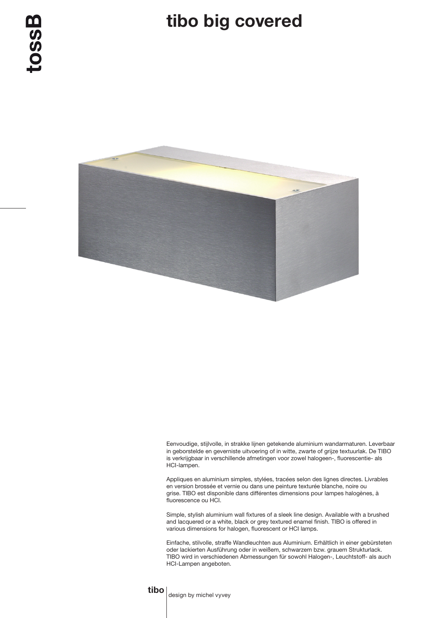## tibo big covered



Eenvoudige, stijlvolle, in strakke lijnen getekende aluminium wandarmaturen. Leverbaar in geborstelde en geverniste uitvoering of in witte, zwarte of grijze textuurlak. De TIBO is verkrijgbaar in verschillende afmetingen voor zowel halogeen-, fluorescentie- als HCI-lampen.

Appliques en aluminium simples, stylées, tracées selon des lignes directes. Livrables en version brossée et vernie ou dans une peinture texturée blanche, noire ou grise. TIBO est disponible dans différentes dimensions pour lampes halogènes, à fluorescence ou HCI.

Simple, stylish aluminium wall fixtures of a sleek line design. Available with a brushed and lacquered or a white, black or grey textured enamel finish. TIBO is offered in various dimensions for halogen, fluorescent or HCI lamps.

Einfache, stilvolle, straffe Wandleuchten aus Aluminium. Erhältlich in einer gebürsteten oder lackierten Ausführung oder in weißem, schwarzem bzw. grauem Strukturlack. TIBO wird in verschiedenen Abmessungen für sowohl Halogen-, Leuchtstoff- als auch HCI-Lampen angeboten.